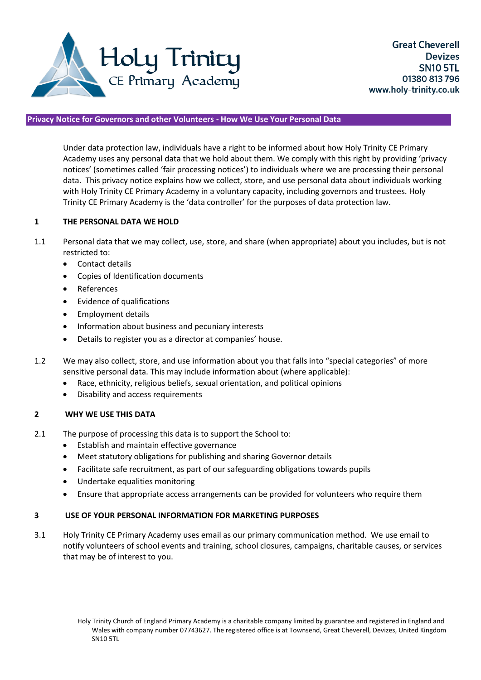

## **Privacy Notice for Governors and other Volunteers - How We Use Your Personal Data**

Under data protection law, individuals have a right to be informed about how Holy Trinity CE Primary Academy uses any personal data that we hold about them. We comply with this right by providing 'privacy notices' (sometimes called 'fair processing notices') to individuals where we are processing their personal data. This privacy notice explains how we collect, store, and use personal data about individuals working with Holy Trinity CE Primary Academy in a voluntary capacity, including governors and trustees. Holy Trinity CE Primary Academy is the 'data controller' for the purposes of data protection law.

#### **1 THE PERSONAL DATA WE HOLD**

- 1.1 Personal data that we may collect, use, store, and share (when appropriate) about you includes, but is not restricted to:
	- Contact details
	- Copies of Identification documents
	- References
	- Evidence of qualifications
	- Employment details
	- Information about business and pecuniary interests
	- Details to register you as a director at companies' house.
- 1.2 We may also collect, store, and use information about you that falls into "special categories" of more sensitive personal data. This may include information about (where applicable):
	- Race, ethnicity, religious beliefs, sexual orientation, and political opinions
	- Disability and access requirements

### **2 WHY WE USE THIS DATA**

- 2.1 The purpose of processing this data is to support the School to:
	- **•** Establish and maintain effective governance
	- Meet statutory obligations for publishing and sharing Governor details
	- Facilitate safe recruitment, as part of our safeguarding obligations towards pupils
	- Undertake equalities monitoring
	- Ensure that appropriate access arrangements can be provided for volunteers who require them

#### **3 USE OF YOUR PERSONAL INFORMATION FOR MARKETING PURPOSES**

3.1 Holy Trinity CE Primary Academy uses email as our primary communication method. We use email to notify volunteers of school events and training, school closures, campaigns, charitable causes, or services that may be of interest to you.

Holy Trinity Church of England Primary Academy is a charitable company limited by guarantee and registered in England and Wales with company number 07743627. The registered office is at Townsend, Great Cheverell, Devizes, United Kingdom SN10 5TL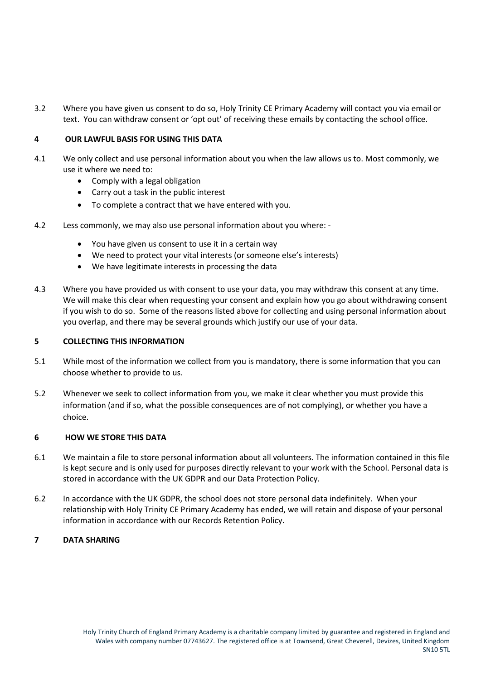3.2 Where you have given us consent to do so, Holy Trinity CE Primary Academy will contact you via email or text. You can withdraw consent or 'opt out' of receiving these emails by contacting the school office.

# **4 OUR LAWFUL BASIS FOR USING THIS DATA**

- 4.1 We only collect and use personal information about you when the law allows us to. Most commonly, we use it where we need to:
	- Comply with a legal obligation
	- Carry out a task in the public interest
	- To complete a contract that we have entered with you.
- 4.2 Less commonly, we may also use personal information about you where:
	- You have given us consent to use it in a certain way
	- We need to protect your vital interests (or someone else's interests)
	- We have legitimate interests in processing the data
- 4.3 Where you have provided us with consent to use your data, you may withdraw this consent at any time. We will make this clear when requesting your consent and explain how you go about withdrawing consent if you wish to do so. Some of the reasons listed above for collecting and using personal information about you overlap, and there may be several grounds which justify our use of your data.

#### **5 COLLECTING THIS INFORMATION**

- 5.1 While most of the information we collect from you is mandatory, there is some information that you can choose whether to provide to us.
- 5.2 Whenever we seek to collect information from you, we make it clear whether you must provide this information (and if so, what the possible consequences are of not complying), or whether you have a choice.

#### **6 HOW WE STORE THIS DATA**

- 6.1 We maintain a file to store personal information about all volunteers. The information contained in this file is kept secure and is only used for purposes directly relevant to your work with the School. Personal data is stored in accordance with the UK GDPR and our Data Protection Policy.
- 6.2 In accordance with the UK GDPR, the school does not store personal data indefinitely. When your relationship with Holy Trinity CE Primary Academy has ended, we will retain and dispose of your personal information in accordance with our Records Retention Policy.

### **7 DATA SHARING**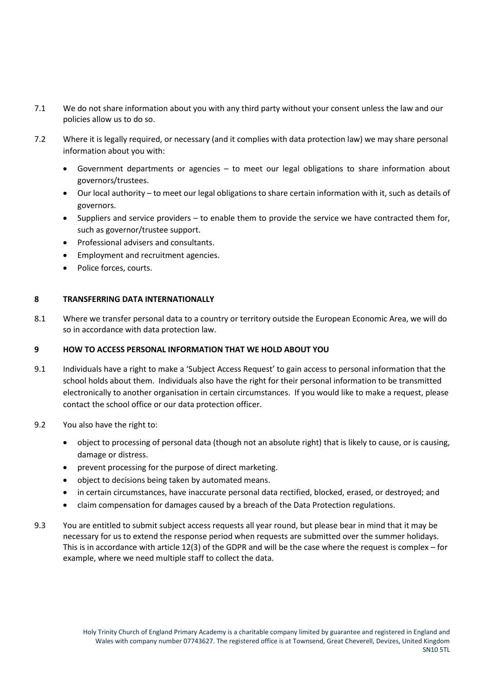- 7.1 We do not share information about you with any third party without your consent unless the law and our policies allow us to do so.
- 7.2 Where it is legally required, or necessary (and it complies with data protection law) we may share personal information about you with:
	- Government departments or agencies to meet our legal obligations to share information about governors/trustees.
	- Our local authority to meet our legal obligations to share certain information with it, such as details of governors.
	- Suppliers and service providers to enable them to provide the service we have contracted them for, such as governor/trustee support.
	- Professional advisers and consultants.
	- **•** Employment and recruitment agencies.
	- Police forces, courts.

#### **8 TRANSFERRING DATA INTERNATIONALLY**

8.1 Where we transfer personal data to a country or territory outside the European Economic Area, we will do so in accordance with data protection law.

### **9 HOW TO ACCESS PERSONAL INFORMATION THAT WE HOLD ABOUT YOU**

- 9.1 Individuals have a right to make a 'Subject Access Request' to gain access to personal information that the school holds about them. Individuals also have the right for their personal information to be transmitted electronically to another organisation in certain circumstances. If you would like to make a request, please contact the school office or our data protection officer.
- 9.2 You also have the right to:
	- object to processing of personal data (though not an absolute right) that is likely to cause, or is causing, damage or distress.
	- prevent processing for the purpose of direct marketing.
	- object to decisions being taken by automated means.
	- in certain circumstances, have inaccurate personal data rectified, blocked, erased, or destroyed; and
	- claim compensation for damages caused by a breach of the Data Protection regulations.
- 9.3 You are entitled to submit subject access requests all year round, but please bear in mind that it may be necessary for us to extend the response period when requests are submitted over the summer holidays. This is in accordance with article 12(3) of the GDPR and will be the case where the request is complex – for example, where we need multiple staff to collect the data.